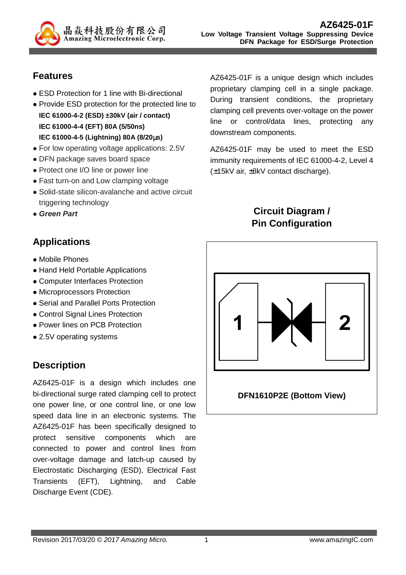

## **Features**

- ESD Protection for 1 line with Bi-directional
- Provide ESD protection for the protected line to **IEC 61000-4-2 (ESD) ±30kV (air / contact) IEC 61000-4-4 (EFT) 80A (5/50ns) IEC 61000-4-5 (Lightning) 80A (8/20**µ**s)**
- For low operating voltage applications: 2.5V
- DFN package saves board space
- Protect one I/O line or power line
- Fast turn-on and Low clamping voltage
- Solid-state silicon-avalanche and active circuit triggering technology
- **Green Part**
- **Applications**
- Mobile Phones
- Hand Held Portable Applications
- Computer Interfaces Protection
- Microprocessors Protection
- Serial and Parallel Ports Protection
- Control Signal Lines Protection
- Power lines on PCB Protection
- 2.5V operating systems

## **Description**

AZ6425-01F is a design which includes one bi-directional surge rated clamping cell to protect one power line, or one control line, or one low speed data line in an electronic systems. The AZ6425-01F has been specifically designed to protect sensitive components which are connected to power and control lines from over-voltage damage and latch-up caused by Electrostatic Discharging (ESD), Electrical Fast Transients (EFT), Lightning, and Cable Discharge Event (CDE).

AZ6425-01F is a unique design which includes proprietary clamping cell in a single package. During transient conditions, the proprietary clamping cell prevents over-voltage on the power line or control/data lines, protecting any downstream components.

AZ6425-01F may be used to meet the ESD immunity requirements of IEC 61000-4-2, Level 4 (±15kV air, ±8kV contact discharge).

# **Circuit Diagram / Pin Configuration**



**DFN1610P2E (Bottom View)**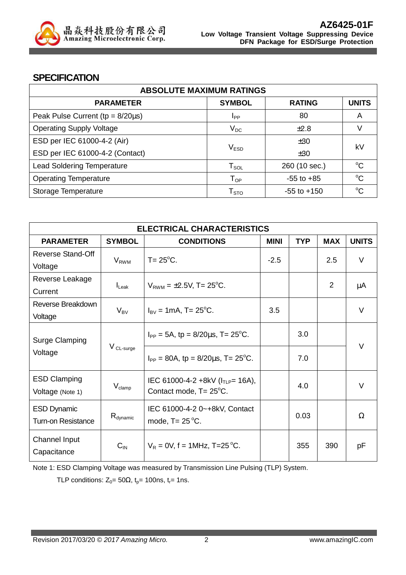

#### **SPECIFICATION**

| <b>ABSOLUTE MAXIMUM RATINGS</b>         |                            |                 |              |  |  |  |
|-----------------------------------------|----------------------------|-----------------|--------------|--|--|--|
| <b>PARAMETER</b>                        | <b>SYMBOL</b>              | <b>RATING</b>   | <b>UNITS</b> |  |  |  |
| Peak Pulse Current ( $tp = 8/20\mu s$ ) | <b>I</b> <sub>PP</sub>     | 80              | A            |  |  |  |
| <b>Operating Supply Voltage</b>         | $V_{DC}$                   | $+2.8$          |              |  |  |  |
| ESD per IEC 61000-4-2 (Air)             |                            | ±30             | kV           |  |  |  |
| ESD per IEC 61000-4-2 (Contact)         | V <sub>ESD</sub>           | ±30             |              |  |  |  |
| <b>Lead Soldering Temperature</b>       | $T_{\texttt{SOL}}$         | 260 (10 sec.)   | $\rm ^{o}C$  |  |  |  |
| <b>Operating Temperature</b>            | $\mathsf{T}_{\mathsf{OP}}$ | $-55$ to $+85$  | $\rm ^{o}C$  |  |  |  |
| Storage Temperature                     | ${\sf T}_{\text{STO}}$     | $-55$ to $+150$ | $\rm ^{o}C$  |  |  |  |

| <b>ELECTRICAL CHARACTERISTICS</b>               |                      |                                                                             |             |            |            |              |  |
|-------------------------------------------------|----------------------|-----------------------------------------------------------------------------|-------------|------------|------------|--------------|--|
| <b>PARAMETER</b>                                | <b>SYMBOL</b>        | <b>CONDITIONS</b>                                                           | <b>MINI</b> | <b>TYP</b> | <b>MAX</b> | <b>UNITS</b> |  |
| Reverse Stand-Off                               |                      | $T = 25$ °C.                                                                | $-2.5$      |            | 2.5        | $\vee$       |  |
| Voltage                                         | $V_{RWM}$            |                                                                             |             |            |            |              |  |
| Reverse Leakage                                 |                      |                                                                             |             |            | 2          |              |  |
| Current                                         | $I_{\text{Leak}}$    | $V_{RWM} = \pm 2.5V$ , T= 25 <sup>o</sup> C.                                |             |            |            | μA           |  |
| Reverse Breakdown                               |                      |                                                                             | 3.5         |            |            | $\vee$       |  |
| Voltage                                         | $V_{BV}$             | $I_{\text{BV}} = 1 \text{mA}$ , T= 25 <sup>o</sup> C.                       |             |            |            |              |  |
| Surge Clamping<br>Voltage                       | V CL-surge           | $I_{PP} = 5A$ , tp = 8/20 $\mu$ s, T= 25 <sup>o</sup> C.                    |             | 3.0        |            |              |  |
|                                                 |                      | $I_{PP} = 80A$ , tp = 8/20 $\mu$ s, T= 25°C.                                |             | 7.0        |            | $\vee$       |  |
| <b>ESD Clamping</b><br>Voltage (Note 1)         | $V_{\text{clamp}}$   | IEC 61000-4-2 +8kV ( $I_{TLP}$ = 16A),<br>Contact mode, $T = 25^{\circ}$ C. |             | 4.0        |            | $\vee$       |  |
| <b>ESD Dynamic</b><br><b>Turn-on Resistance</b> | $R_{\text{dynamic}}$ | IEC 61000-4-2 0~+8kV, Contact<br>mode, $T = 25^{\circ}C$ .                  |             | 0.03       |            | Ω            |  |
| Channel Input<br>Capacitance                    | $C_{IN}$             | $V_R = 0V$ , f = 1MHz, T=25 °C.                                             |             | 355        | 390        | рF           |  |

Note 1: ESD Clamping Voltage was measured by Transmission Line Pulsing (TLP) System.

TLP conditions:  $Z_0 = 50\Omega$ ,  $t_p = 100$ ns,  $t_r = 1$ ns.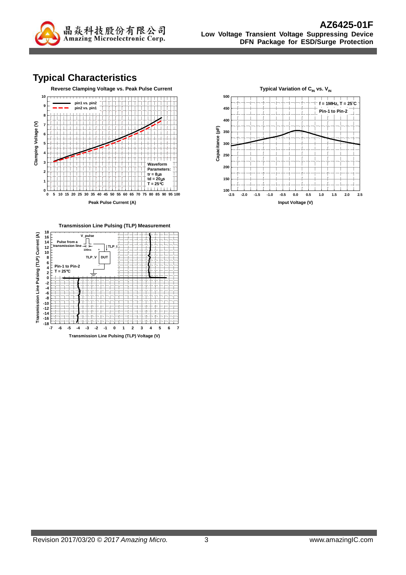

# **Typical Characteristics**





**Transmission Line Pulsing (TLP) Measurement 8 10 12 14 16 18 V\_pulse Pulse from a** Ť **transmission line TLP\_I 100ns** +



**Transmission Line Pulsing (TLP) Voltage (V)**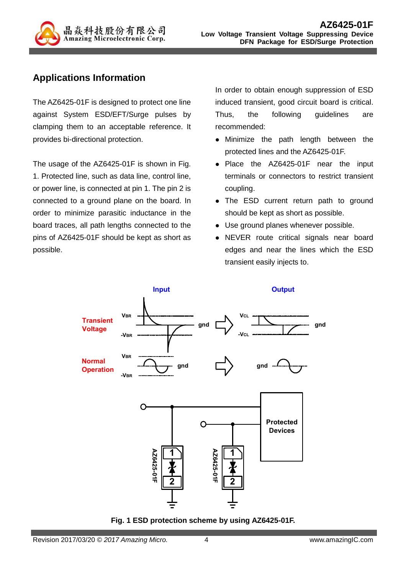

## **Applications Information**

The AZ6425-01F is designed to protect one line against System ESD/EFT/Surge pulses by clamping them to an acceptable reference. It provides bi-directional protection.

The usage of the AZ6425-01F is shown in Fig. 1. Protected line, such as data line, control line, or power line, is connected at pin 1. The pin 2 is connected to a ground plane on the board. In order to minimize parasitic inductance in the board traces, all path lengths connected to the pins of AZ6425-01F should be kept as short as possible.

In order to obtain enough suppression of ESD induced transient, good circuit board is critical. Thus, the following guidelines are recommended:

- Minimize the path length between the protected lines and the AZ6425-01F.
- Place the AZ6425-01F near the input terminals or connectors to restrict transient coupling.
- The ESD current return path to ground should be kept as short as possible.
- Use ground planes whenever possible.
- NEVER route critical signals near board edges and near the lines which the ESD transient easily injects to.



**Fig. 1 ESD protection scheme by using AZ6425-01F.**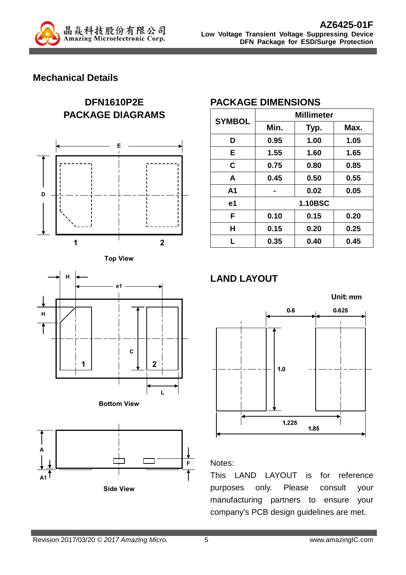

#### **Mechanical Details**













## **PACKAGE DIMENSIONS**

| <b>SYMBOL</b>  | <b>Millimeter</b> |      |      |  |  |
|----------------|-------------------|------|------|--|--|
|                | Min.              | Typ. | Max. |  |  |
| D              | 0.95              | 1.00 | 1.05 |  |  |
| E              | 1.55              | 1.60 | 1.65 |  |  |
| C              | 0.75              | 0.80 | 0.85 |  |  |
| A              | 0.45              | 0.50 | 0.55 |  |  |
| A <sub>1</sub> | 0.02              |      | 0.05 |  |  |
| e1             | <b>1.10BSC</b>    |      |      |  |  |
| F              | 0.10              | 0.15 | 0.20 |  |  |
| н              | 0.15              | 0.20 | 0.25 |  |  |
| L              | 0.35              | 0.40 | 0.45 |  |  |

# **LAND LAYOUT**



#### Notes:

This LAND LAYOUT is for reference purposes only. Please consult your manufacturing partners to ensure your company's PCB design guidelines are met.